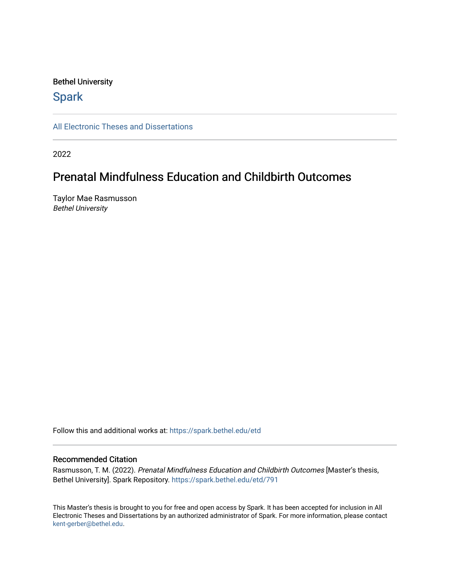#### Bethel University

## **Spark**

[All Electronic Theses and Dissertations](https://spark.bethel.edu/etd) 

2022

## Prenatal Mindfulness Education and Childbirth Outcomes

Taylor Mae Rasmusson Bethel University

Follow this and additional works at: [https://spark.bethel.edu/etd](https://spark.bethel.edu/etd?utm_source=spark.bethel.edu%2Fetd%2F791&utm_medium=PDF&utm_campaign=PDFCoverPages)

#### Recommended Citation

Rasmusson, T. M. (2022). Prenatal Mindfulness Education and Childbirth Outcomes [Master's thesis, Bethel University]. Spark Repository. [https://spark.bethel.edu/etd/791](https://spark.bethel.edu/etd/791?utm_source=spark.bethel.edu%2Fetd%2F791&utm_medium=PDF&utm_campaign=PDFCoverPages) 

This Master's thesis is brought to you for free and open access by Spark. It has been accepted for inclusion in All Electronic Theses and Dissertations by an authorized administrator of Spark. For more information, please contact [kent-gerber@bethel.edu](mailto:kent-gerber@bethel.edu).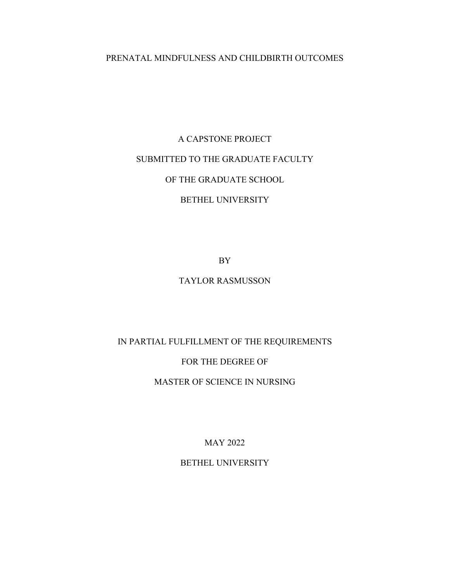### PRENATAL MINDFULNESS AND CHILDBIRTH OUTCOMES

# A CAPSTONE PROJECT SUBMITTED TO THE GRADUATE FACULTY OF THE GRADUATE SCHOOL BETHEL UNIVERSITY

BY

## TAYLOR RASMUSSON

IN PARTIAL FULFILLMENT OF THE REQUIREMENTS

FOR THE DEGREE OF

MASTER OF SCIENCE IN NURSING

MAY 2022

BETHEL UNIVERSITY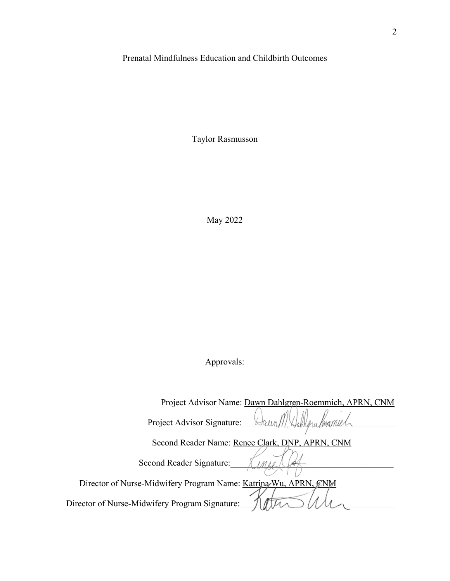## Prenatal Mindfulness Education and Childbirth Outcomes

Taylor Rasmusson

May 2022

## Approvals:

| Project Advisor Name: Dawn Dahlgren-Roemmich, APRN, CNM         |
|-----------------------------------------------------------------|
| Project Advisor Signature:                                      |
| Second Reader Name: Renee Clark, DNP, APRN, CNM                 |
|                                                                 |
| Second Reader Signature:                                        |
| Director of Nurse-Midwifery Program Name: Katrina Wu, APRN, CNM |
| Director of Nurse-Midwifery Program Signature:                  |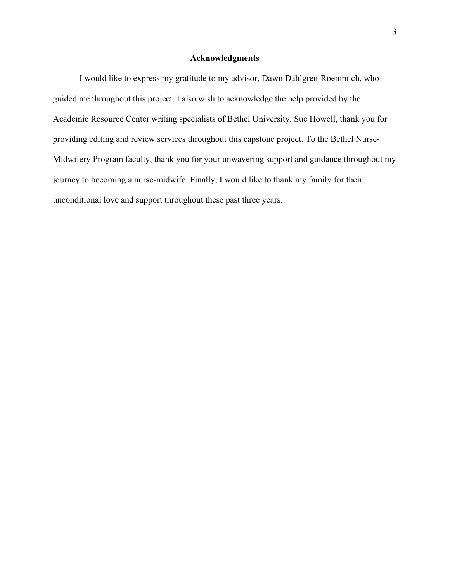#### **Acknowledgments**

 I would like to express my gratitude to my advisor, Dawn Dahlgren-Roemmich, who guided me throughout this project. I also wish to acknowledge the help provided by the Academic Resource Center writing specialists of Bethel University. Sue Howell, thank you for providing editing and review services throughout this capstone project. To the Bethel Nurse-Midwifery Program faculty, thank you for your unwavering support and guidance throughout my journey to becoming a nurse-midwife. Finally, I would like to thank my family for their unconditional love and support throughout these past three years.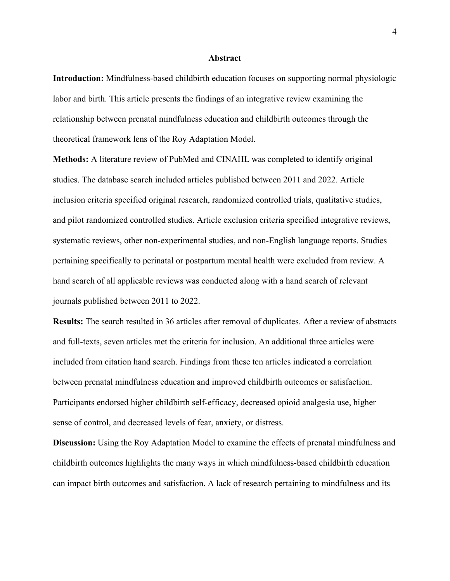#### **Abstract**

**Introduction:** Mindfulness-based childbirth education focuses on supporting normal physiologic labor and birth. This article presents the findings of an integrative review examining the relationship between prenatal mindfulness education and childbirth outcomes through the theoretical framework lens of the Roy Adaptation Model.

**Methods:** A literature review of PubMed and CINAHL was completed to identify original studies. The database search included articles published between 2011 and 2022. Article inclusion criteria specified original research, randomized controlled trials, qualitative studies, and pilot randomized controlled studies. Article exclusion criteria specified integrative reviews, systematic reviews, other non-experimental studies, and non-English language reports. Studies pertaining specifically to perinatal or postpartum mental health were excluded from review. A hand search of all applicable reviews was conducted along with a hand search of relevant journals published between 2011 to 2022.

**Results:** The search resulted in 36 articles after removal of duplicates. After a review of abstracts and full-texts, seven articles met the criteria for inclusion. An additional three articles were included from citation hand search. Findings from these ten articles indicated a correlation between prenatal mindfulness education and improved childbirth outcomes or satisfaction. Participants endorsed higher childbirth self-efficacy, decreased opioid analgesia use, higher sense of control, and decreased levels of fear, anxiety, or distress.

**Discussion:** Using the Roy Adaptation Model to examine the effects of prenatal mindfulness and childbirth outcomes highlights the many ways in which mindfulness-based childbirth education can impact birth outcomes and satisfaction. A lack of research pertaining to mindfulness and its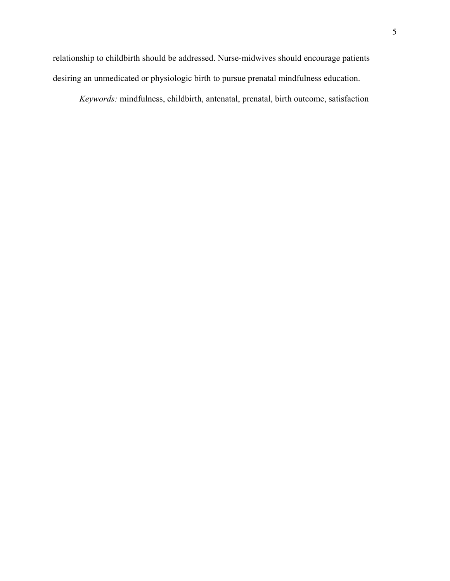relationship to childbirth should be addressed. Nurse-midwives should encourage patients desiring an unmedicated or physiologic birth to pursue prenatal mindfulness education.

*Keywords:* mindfulness, childbirth, antenatal, prenatal, birth outcome, satisfaction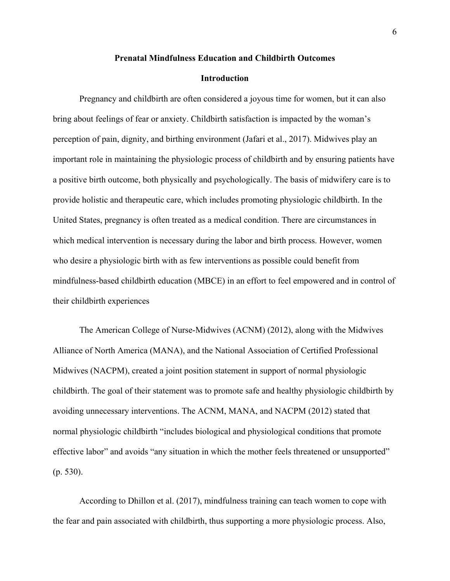#### **Prenatal Mindfulness Education and Childbirth Outcomes**

#### **Introduction**

Pregnancy and childbirth are often considered a joyous time for women, but it can also bring about feelings of fear or anxiety. Childbirth satisfaction is impacted by the woman's perception of pain, dignity, and birthing environment (Jafari et al., 2017). Midwives play an important role in maintaining the physiologic process of childbirth and by ensuring patients have a positive birth outcome, both physically and psychologically. The basis of midwifery care is to provide holistic and therapeutic care, which includes promoting physiologic childbirth. In the United States, pregnancy is often treated as a medical condition. There are circumstances in which medical intervention is necessary during the labor and birth process. However, women who desire a physiologic birth with as few interventions as possible could benefit from mindfulness-based childbirth education (MBCE) in an effort to feel empowered and in control of their childbirth experiences

The American College of Nurse-Midwives (ACNM) (2012), along with the Midwives Alliance of North America (MANA), and the National Association of Certified Professional Midwives (NACPM), created a joint position statement in support of normal physiologic childbirth. The goal of their statement was to promote safe and healthy physiologic childbirth by avoiding unnecessary interventions. The ACNM, MANA, and NACPM (2012) stated that normal physiologic childbirth "includes biological and physiological conditions that promote effective labor" and avoids "any situation in which the mother feels threatened or unsupported" (p. 530).

According to Dhillon et al. (2017), mindfulness training can teach women to cope with the fear and pain associated with childbirth, thus supporting a more physiologic process. Also,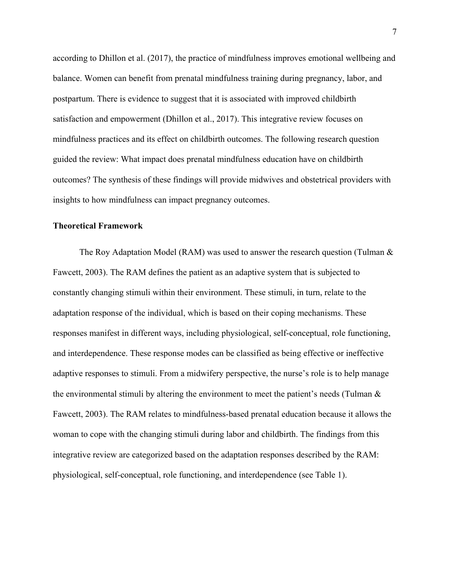according to Dhillon et al. (2017), the practice of mindfulness improves emotional wellbeing and balance. Women can benefit from prenatal mindfulness training during pregnancy, labor, and postpartum. There is evidence to suggest that it is associated with improved childbirth satisfaction and empowerment (Dhillon et al., 2017). This integrative review focuses on mindfulness practices and its effect on childbirth outcomes. The following research question guided the review: What impact does prenatal mindfulness education have on childbirth outcomes? The synthesis of these findings will provide midwives and obstetrical providers with insights to how mindfulness can impact pregnancy outcomes.

#### **Theoretical Framework**

The Roy Adaptation Model (RAM) was used to answer the research question (Tulman & Fawcett, 2003). The RAM defines the patient as an adaptive system that is subjected to constantly changing stimuli within their environment. These stimuli, in turn, relate to the adaptation response of the individual, which is based on their coping mechanisms. These responses manifest in different ways, including physiological, self-conceptual, role functioning, and interdependence. These response modes can be classified as being effective or ineffective adaptive responses to stimuli. From a midwifery perspective, the nurse's role is to help manage the environmental stimuli by altering the environment to meet the patient's needs (Tulman & Fawcett, 2003). The RAM relates to mindfulness-based prenatal education because it allows the woman to cope with the changing stimuli during labor and childbirth. The findings from this integrative review are categorized based on the adaptation responses described by the RAM: physiological, self-conceptual, role functioning, and interdependence (see Table 1).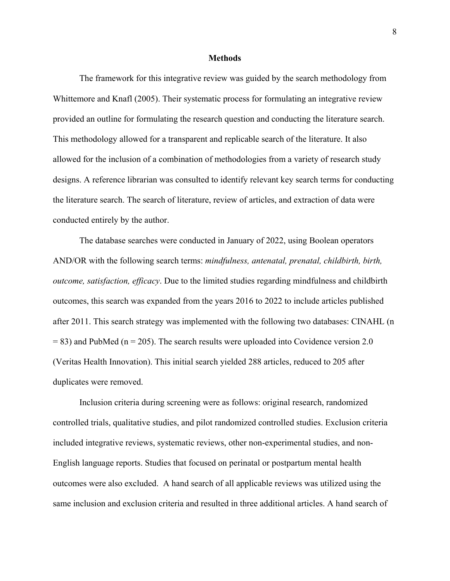#### **Methods**

 The framework for this integrative review was guided by the search methodology from Whittemore and Knafl (2005). Their systematic process for formulating an integrative review provided an outline for formulating the research question and conducting the literature search. This methodology allowed for a transparent and replicable search of the literature. It also allowed for the inclusion of a combination of methodologies from a variety of research study designs. A reference librarian was consulted to identify relevant key search terms for conducting the literature search. The search of literature, review of articles, and extraction of data were conducted entirely by the author.

 The database searches were conducted in January of 2022, using Boolean operators AND/OR with the following search terms: *mindfulness, antenatal, prenatal, childbirth, birth, outcome, satisfaction, efficacy*. Due to the limited studies regarding mindfulness and childbirth outcomes, this search was expanded from the years 2016 to 2022 to include articles published after 2011. This search strategy was implemented with the following two databases: CINAHL (n  $= 83$ ) and PubMed (n  $= 205$ ). The search results were uploaded into Covidence version 2.0 (Veritas Health Innovation). This initial search yielded 288 articles, reduced to 205 after duplicates were removed.

 Inclusion criteria during screening were as follows: original research, randomized controlled trials, qualitative studies, and pilot randomized controlled studies. Exclusion criteria included integrative reviews, systematic reviews, other non-experimental studies, and non-English language reports. Studies that focused on perinatal or postpartum mental health outcomes were also excluded. A hand search of all applicable reviews was utilized using the same inclusion and exclusion criteria and resulted in three additional articles. A hand search of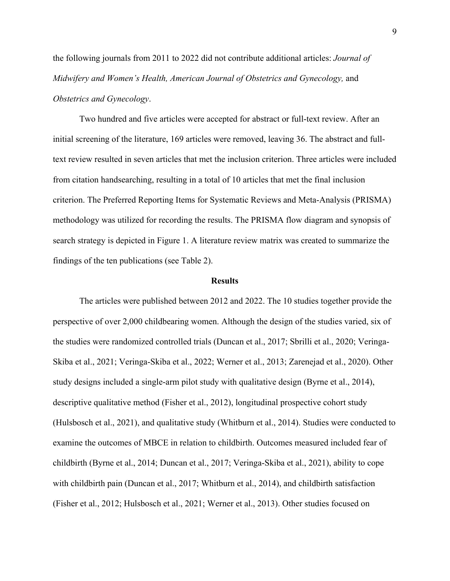the following journals from 2011 to 2022 did not contribute additional articles: *Journal of Midwifery and Women's Health, American Journal of Obstetrics and Gynecology,* and *Obstetrics and Gynecology*.

 Two hundred and five articles were accepted for abstract or full-text review. After an initial screening of the literature, 169 articles were removed, leaving 36. The abstract and fulltext review resulted in seven articles that met the inclusion criterion. Three articles were included from citation handsearching, resulting in a total of 10 articles that met the final inclusion criterion. The Preferred Reporting Items for Systematic Reviews and Meta-Analysis (PRISMA) methodology was utilized for recording the results. The PRISMA flow diagram and synopsis of search strategy is depicted in Figure 1. A literature review matrix was created to summarize the findings of the ten publications (see Table 2).

#### **Results**

The articles were published between 2012 and 2022. The 10 studies together provide the perspective of over 2,000 childbearing women. Although the design of the studies varied, six of the studies were randomized controlled trials (Duncan et al., 2017; Sbrilli et al., 2020; Veringa-Skiba et al., 2021; Veringa-Skiba et al., 2022; Werner et al., 2013; Zarenejad et al., 2020). Other study designs included a single-arm pilot study with qualitative design (Byrne et al., 2014), descriptive qualitative method (Fisher et al., 2012), longitudinal prospective cohort study (Hulsbosch et al., 2021), and qualitative study (Whitburn et al., 2014). Studies were conducted to examine the outcomes of MBCE in relation to childbirth. Outcomes measured included fear of childbirth (Byrne et al., 2014; Duncan et al., 2017; Veringa-Skiba et al., 2021), ability to cope with childbirth pain (Duncan et al., 2017; Whitburn et al., 2014), and childbirth satisfaction (Fisher et al., 2012; Hulsbosch et al., 2021; Werner et al., 2013). Other studies focused on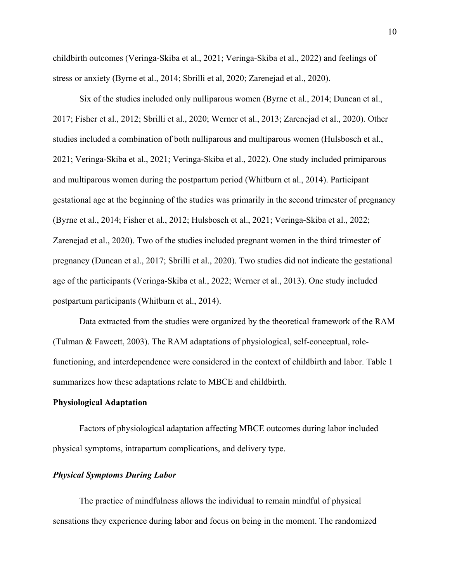childbirth outcomes (Veringa-Skiba et al., 2021; Veringa-Skiba et al., 2022) and feelings of stress or anxiety (Byrne et al., 2014; Sbrilli et al, 2020; Zarenejad et al., 2020).

 Six of the studies included only nulliparous women (Byrne et al., 2014; Duncan et al., 2017; Fisher et al., 2012; Sbrilli et al., 2020; Werner et al., 2013; Zarenejad et al., 2020). Other studies included a combination of both nulliparous and multiparous women (Hulsbosch et al., 2021; Veringa-Skiba et al., 2021; Veringa-Skiba et al., 2022). One study included primiparous and multiparous women during the postpartum period (Whitburn et al., 2014). Participant gestational age at the beginning of the studies was primarily in the second trimester of pregnancy (Byrne et al., 2014; Fisher et al., 2012; Hulsbosch et al., 2021; Veringa-Skiba et al., 2022; Zarenejad et al., 2020). Two of the studies included pregnant women in the third trimester of pregnancy (Duncan et al., 2017; Sbrilli et al., 2020). Two studies did not indicate the gestational age of the participants (Veringa-Skiba et al., 2022; Werner et al., 2013). One study included postpartum participants (Whitburn et al., 2014).

 Data extracted from the studies were organized by the theoretical framework of the RAM (Tulman & Fawcett, 2003). The RAM adaptations of physiological, self-conceptual, rolefunctioning, and interdependence were considered in the context of childbirth and labor. Table 1 summarizes how these adaptations relate to MBCE and childbirth.

#### **Physiological Adaptation**

 Factors of physiological adaptation affecting MBCE outcomes during labor included physical symptoms, intrapartum complications, and delivery type.

#### *Physical Symptoms During Labor*

The practice of mindfulness allows the individual to remain mindful of physical sensations they experience during labor and focus on being in the moment. The randomized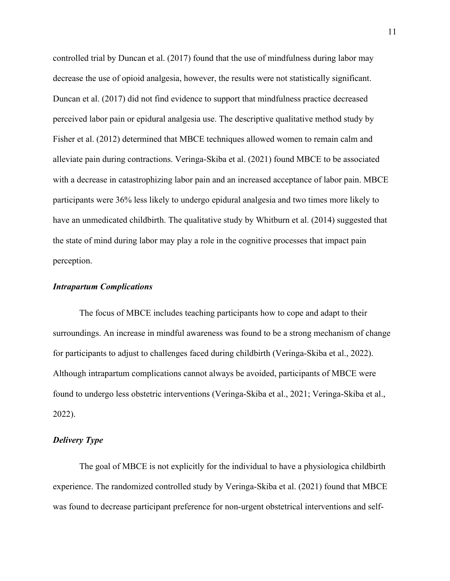controlled trial by Duncan et al. (2017) found that the use of mindfulness during labor may decrease the use of opioid analgesia, however, the results were not statistically significant. Duncan et al. (2017) did not find evidence to support that mindfulness practice decreased perceived labor pain or epidural analgesia use. The descriptive qualitative method study by Fisher et al. (2012) determined that MBCE techniques allowed women to remain calm and alleviate pain during contractions. Veringa-Skiba et al. (2021) found MBCE to be associated with a decrease in catastrophizing labor pain and an increased acceptance of labor pain. MBCE participants were 36% less likely to undergo epidural analgesia and two times more likely to have an unmedicated childbirth. The qualitative study by Whitburn et al. (2014) suggested that the state of mind during labor may play a role in the cognitive processes that impact pain perception.

#### *Intrapartum Complications*

The focus of MBCE includes teaching participants how to cope and adapt to their surroundings. An increase in mindful awareness was found to be a strong mechanism of change for participants to adjust to challenges faced during childbirth (Veringa-Skiba et al., 2022). Although intrapartum complications cannot always be avoided, participants of MBCE were found to undergo less obstetric interventions (Veringa-Skiba et al., 2021; Veringa-Skiba et al., 2022).

#### *Delivery Type*

The goal of MBCE is not explicitly for the individual to have a physiologica childbirth experience. The randomized controlled study by Veringa-Skiba et al. (2021) found that MBCE was found to decrease participant preference for non-urgent obstetrical interventions and self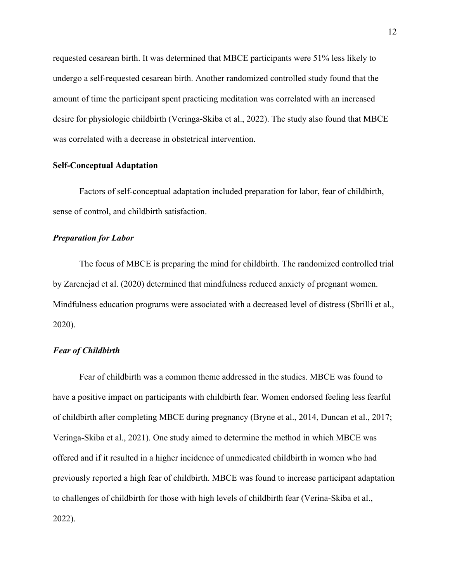requested cesarean birth. It was determined that MBCE participants were 51% less likely to undergo a self-requested cesarean birth. Another randomized controlled study found that the amount of time the participant spent practicing meditation was correlated with an increased desire for physiologic childbirth (Veringa-Skiba et al., 2022). The study also found that MBCE was correlated with a decrease in obstetrical intervention.

#### **Self-Conceptual Adaptation**

Factors of self-conceptual adaptation included preparation for labor, fear of childbirth, sense of control, and childbirth satisfaction.

#### *Preparation for Labor*

The focus of MBCE is preparing the mind for childbirth. The randomized controlled trial by Zarenejad et al. (2020) determined that mindfulness reduced anxiety of pregnant women. Mindfulness education programs were associated with a decreased level of distress (Sbrilli et al., 2020).

#### *Fear of Childbirth*

Fear of childbirth was a common theme addressed in the studies. MBCE was found to have a positive impact on participants with childbirth fear. Women endorsed feeling less fearful of childbirth after completing MBCE during pregnancy (Bryne et al., 2014, Duncan et al., 2017; Veringa-Skiba et al., 2021). One study aimed to determine the method in which MBCE was offered and if it resulted in a higher incidence of unmedicated childbirth in women who had previously reported a high fear of childbirth. MBCE was found to increase participant adaptation to challenges of childbirth for those with high levels of childbirth fear (Verina-Skiba et al., 2022).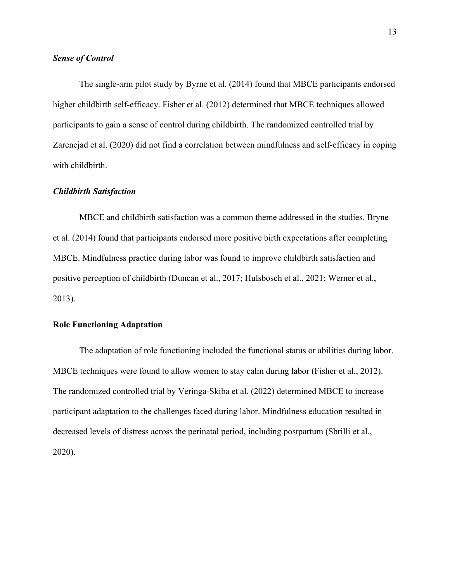#### *Sense of Control*

 The single-arm pilot study by Byrne et al. (2014) found that MBCE participants endorsed higher childbirth self-efficacy. Fisher et al. (2012) determined that MBCE techniques allowed participants to gain a sense of control during childbirth. The randomized controlled trial by Zarenejad et al. (2020) did not find a correlation between mindfulness and self-efficacy in coping with childbirth.

#### *Childbirth Satisfaction*

MBCE and childbirth satisfaction was a common theme addressed in the studies. Bryne et al. (2014) found that participants endorsed more positive birth expectations after completing MBCE. Mindfulness practice during labor was found to improve childbirth satisfaction and positive perception of childbirth (Duncan et al., 2017; Hulsbosch et al., 2021; Werner et al., 2013).

#### **Role Functioning Adaptation**

The adaptation of role functioning included the functional status or abilities during labor. MBCE techniques were found to allow women to stay calm during labor (Fisher et al., 2012). The randomized controlled trial by Veringa-Skiba et al. (2022) determined MBCE to increase participant adaptation to the challenges faced during labor. Mindfulness education resulted in decreased levels of distress across the perinatal period, including postpartum (Sbrilli et al., 2020).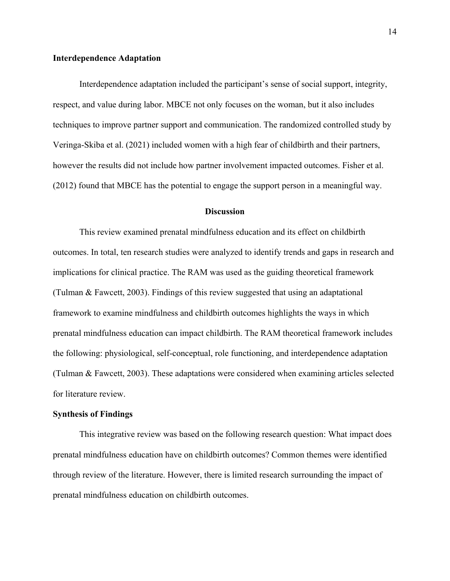#### **Interdependence Adaptation**

Interdependence adaptation included the participant's sense of social support, integrity, respect, and value during labor. MBCE not only focuses on the woman, but it also includes techniques to improve partner support and communication. The randomized controlled study by Veringa-Skiba et al. (2021) included women with a high fear of childbirth and their partners, however the results did not include how partner involvement impacted outcomes. Fisher et al. (2012) found that MBCE has the potential to engage the support person in a meaningful way.

#### **Discussion**

 This review examined prenatal mindfulness education and its effect on childbirth outcomes. In total, ten research studies were analyzed to identify trends and gaps in research and implications for clinical practice. The RAM was used as the guiding theoretical framework (Tulman & Fawcett, 2003). Findings of this review suggested that using an adaptational framework to examine mindfulness and childbirth outcomes highlights the ways in which prenatal mindfulness education can impact childbirth. The RAM theoretical framework includes the following: physiological, self-conceptual, role functioning, and interdependence adaptation (Tulman & Fawcett, 2003). These adaptations were considered when examining articles selected for literature review.

#### **Synthesis of Findings**

This integrative review was based on the following research question: What impact does prenatal mindfulness education have on childbirth outcomes? Common themes were identified through review of the literature. However, there is limited research surrounding the impact of prenatal mindfulness education on childbirth outcomes.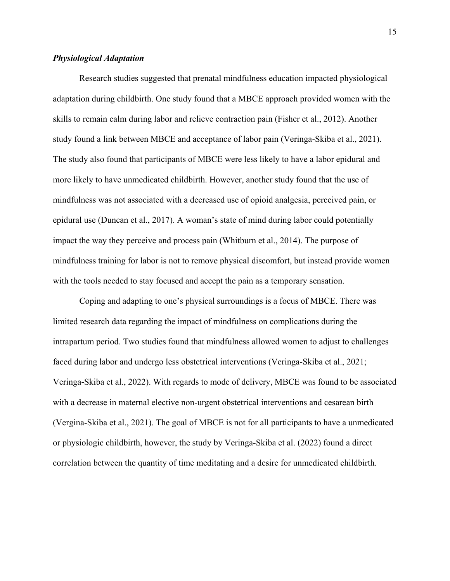#### *Physiological Adaptation*

Research studies suggested that prenatal mindfulness education impacted physiological adaptation during childbirth. One study found that a MBCE approach provided women with the skills to remain calm during labor and relieve contraction pain (Fisher et al., 2012). Another study found a link between MBCE and acceptance of labor pain (Veringa-Skiba et al., 2021). The study also found that participants of MBCE were less likely to have a labor epidural and more likely to have unmedicated childbirth. However, another study found that the use of mindfulness was not associated with a decreased use of opioid analgesia, perceived pain, or epidural use (Duncan et al., 2017). A woman's state of mind during labor could potentially impact the way they perceive and process pain (Whitburn et al., 2014). The purpose of mindfulness training for labor is not to remove physical discomfort, but instead provide women with the tools needed to stay focused and accept the pain as a temporary sensation.

 Coping and adapting to one's physical surroundings is a focus of MBCE. There was limited research data regarding the impact of mindfulness on complications during the intrapartum period. Two studies found that mindfulness allowed women to adjust to challenges faced during labor and undergo less obstetrical interventions (Veringa-Skiba et al., 2021; Veringa-Skiba et al., 2022). With regards to mode of delivery, MBCE was found to be associated with a decrease in maternal elective non-urgent obstetrical interventions and cesarean birth (Vergina-Skiba et al., 2021). The goal of MBCE is not for all participants to have a unmedicated or physiologic childbirth, however, the study by Veringa-Skiba et al. (2022) found a direct correlation between the quantity of time meditating and a desire for unmedicated childbirth.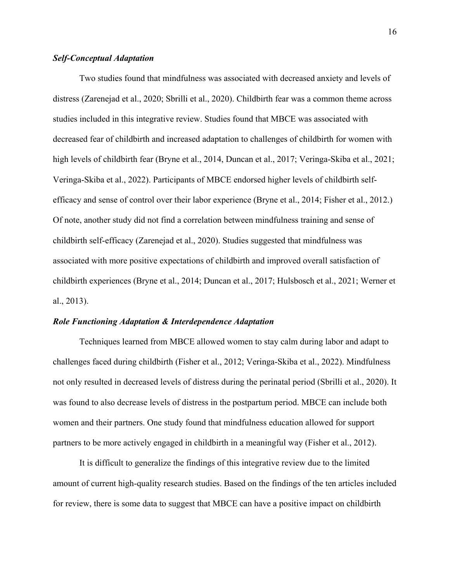#### *Self-Conceptual Adaptation*

Two studies found that mindfulness was associated with decreased anxiety and levels of distress (Zarenejad et al., 2020; Sbrilli et al., 2020). Childbirth fear was a common theme across studies included in this integrative review. Studies found that MBCE was associated with decreased fear of childbirth and increased adaptation to challenges of childbirth for women with high levels of childbirth fear (Bryne et al., 2014, Duncan et al., 2017; Veringa-Skiba et al., 2021; Veringa-Skiba et al., 2022). Participants of MBCE endorsed higher levels of childbirth selfefficacy and sense of control over their labor experience (Bryne et al., 2014; Fisher et al., 2012.) Of note, another study did not find a correlation between mindfulness training and sense of childbirth self-efficacy (Zarenejad et al., 2020). Studies suggested that mindfulness was associated with more positive expectations of childbirth and improved overall satisfaction of childbirth experiences (Bryne et al., 2014; Duncan et al., 2017; Hulsbosch et al., 2021; Werner et al., 2013).

#### *Role Functioning Adaptation & Interdependence Adaptation*

Techniques learned from MBCE allowed women to stay calm during labor and adapt to challenges faced during childbirth (Fisher et al., 2012; Veringa-Skiba et al., 2022). Mindfulness not only resulted in decreased levels of distress during the perinatal period (Sbrilli et al., 2020). It was found to also decrease levels of distress in the postpartum period. MBCE can include both women and their partners. One study found that mindfulness education allowed for support partners to be more actively engaged in childbirth in a meaningful way (Fisher et al., 2012).

 It is difficult to generalize the findings of this integrative review due to the limited amount of current high-quality research studies. Based on the findings of the ten articles included for review, there is some data to suggest that MBCE can have a positive impact on childbirth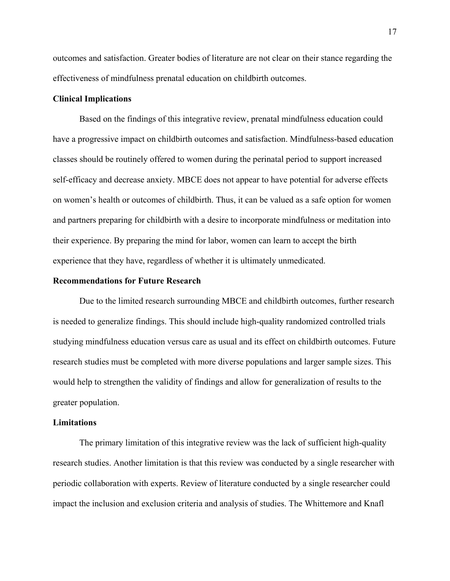outcomes and satisfaction. Greater bodies of literature are not clear on their stance regarding the effectiveness of mindfulness prenatal education on childbirth outcomes.

#### **Clinical Implications**

Based on the findings of this integrative review, prenatal mindfulness education could have a progressive impact on childbirth outcomes and satisfaction. Mindfulness-based education classes should be routinely offered to women during the perinatal period to support increased self-efficacy and decrease anxiety. MBCE does not appear to have potential for adverse effects on women's health or outcomes of childbirth. Thus, it can be valued as a safe option for women and partners preparing for childbirth with a desire to incorporate mindfulness or meditation into their experience. By preparing the mind for labor, women can learn to accept the birth experience that they have, regardless of whether it is ultimately unmedicated.

#### **Recommendations for Future Research**

Due to the limited research surrounding MBCE and childbirth outcomes, further research is needed to generalize findings. This should include high-quality randomized controlled trials studying mindfulness education versus care as usual and its effect on childbirth outcomes. Future research studies must be completed with more diverse populations and larger sample sizes. This would help to strengthen the validity of findings and allow for generalization of results to the greater population.

#### **Limitations**

The primary limitation of this integrative review was the lack of sufficient high-quality research studies. Another limitation is that this review was conducted by a single researcher with periodic collaboration with experts. Review of literature conducted by a single researcher could impact the inclusion and exclusion criteria and analysis of studies. The Whittemore and Knafl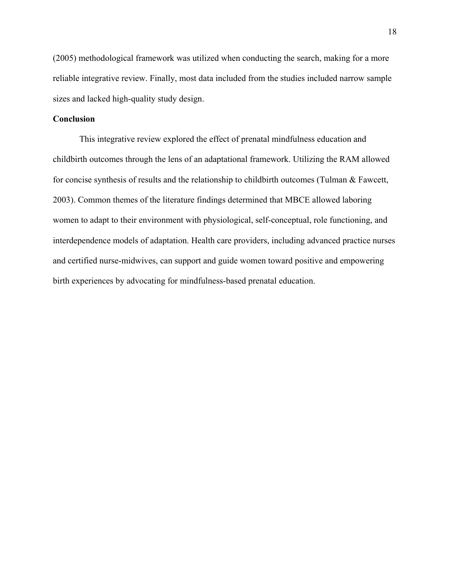(2005) methodological framework was utilized when conducting the search, making for a more reliable integrative review. Finally, most data included from the studies included narrow sample sizes and lacked high-quality study design.

#### **Conclusion**

 This integrative review explored the effect of prenatal mindfulness education and childbirth outcomes through the lens of an adaptational framework. Utilizing the RAM allowed for concise synthesis of results and the relationship to childbirth outcomes (Tulman & Fawcett, 2003). Common themes of the literature findings determined that MBCE allowed laboring women to adapt to their environment with physiological, self-conceptual, role functioning, and interdependence models of adaptation. Health care providers, including advanced practice nurses and certified nurse-midwives, can support and guide women toward positive and empowering birth experiences by advocating for mindfulness-based prenatal education.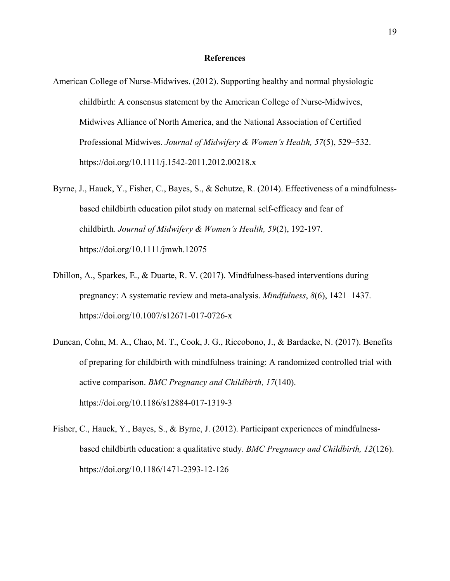#### **References**

- American College of Nurse-Midwives. (2012). Supporting healthy and normal physiologic childbirth: A consensus statement by the American College of Nurse-Midwives, Midwives Alliance of North America, and the National Association of Certified Professional Midwives. *Journal of Midwifery & Women's Health, 57*(5), 529–532. https://doi.org/10.1111/j.1542-2011.2012.00218.x
- Byrne, J., Hauck, Y., Fisher, C., Bayes, S., & Schutze, R. (2014). Effectiveness of a mindfulnessbased childbirth education pilot study on maternal self-efficacy and fear of childbirth. *Journal of Midwifery & Women's Health, 59*(2), 192-197. https://doi.org/10.1111/jmwh.12075
- Dhillon, A., Sparkes, E., & Duarte, R. V. (2017). Mindfulness-based interventions during pregnancy: A systematic review and meta-analysis. *Mindfulness*, *8*(6), 1421–1437. https://doi.org/10.1007/s12671-017-0726-x
- Duncan, Cohn, M. A., Chao, M. T., Cook, J. G., Riccobono, J., & Bardacke, N. (2017). Benefits of preparing for childbirth with mindfulness training: A randomized controlled trial with active comparison. *BMC Pregnancy and Childbirth, 17*(140). https://doi.org/10.1186/s12884-017-1319-3
- Fisher, C., Hauck, Y., Bayes, S., & Byrne, J. (2012). Participant experiences of mindfulnessbased childbirth education: a qualitative study. *BMC Pregnancy and Childbirth, 12*(126). https://doi.org/10.1186/1471-2393-12-126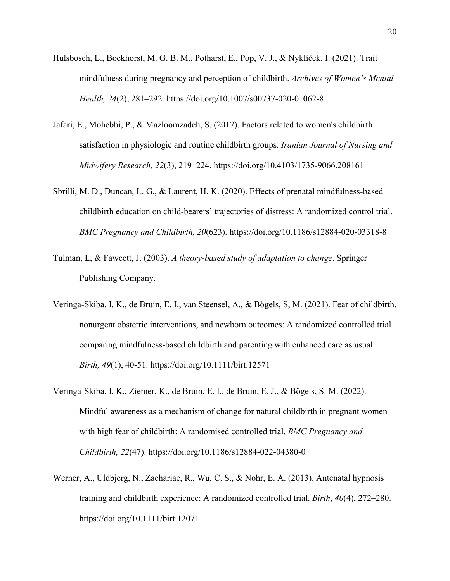- Hulsbosch, L., Boekhorst, M. G. B. M., Potharst, E., Pop, V. J., & Nyklíček, I. (2021). Trait mindfulness during pregnancy and perception of childbirth. *Archives of Women's Mental Health, 24*(2), 281–292. https://doi.org/10.1007/s00737-020-01062-8
- Jafari, E., Mohebbi, P., & Mazloomzadeh, S. (2017). Factors related to women's childbirth satisfaction in physiologic and routine childbirth groups. *Iranian Journal of Nursing and Midwifery Research, 22*(3), 219–224. https://doi.org/10.4103/1735-9066.208161
- Sbrilli, M. D., Duncan, L. G., & Laurent, H. K. (2020). Effects of prenatal mindfulness-based childbirth education on child-bearers' trajectories of distress: A randomized control trial. *BMC Pregnancy and Childbirth, 20*(623). https://doi.org/10.1186/s12884-020-03318-8
- Tulman, L, & Fawcett, J. (2003). *A theory-based study of adaptation to change*. Springer Publishing Company.
- Veringa-Skiba, I. K., de Bruin, E. I., van Steensel, A., & Bögels, S, M. (2021). Fear of childbirth, nonurgent obstetric interventions, and newborn outcomes: A randomized controlled trial comparing mindfulness-based childbirth and parenting with enhanced care as usual. *Birth, 49*(1), 40-51. https://doi.org/10.1111/birt.12571
- Veringa-Skiba, I. K., Ziemer, K., de Bruin, E. I., de Bruin, E. J., & Bögels, S. M. (2022). Mindful awareness as a mechanism of change for natural childbirth in pregnant women with high fear of childbirth: A randomised controlled trial. *BMC Pregnancy and Childbirth, 22*(47). https://doi.org/10.1186/s12884-022-04380-0
- Werner, A., Uldbjerg, N., Zachariae, R., Wu, C. S., & Nohr, E. A. (2013). Antenatal hypnosis training and childbirth experience: A randomized controlled trial. *Birth*, *40*(4), 272–280. https://doi.org/10.1111/birt.12071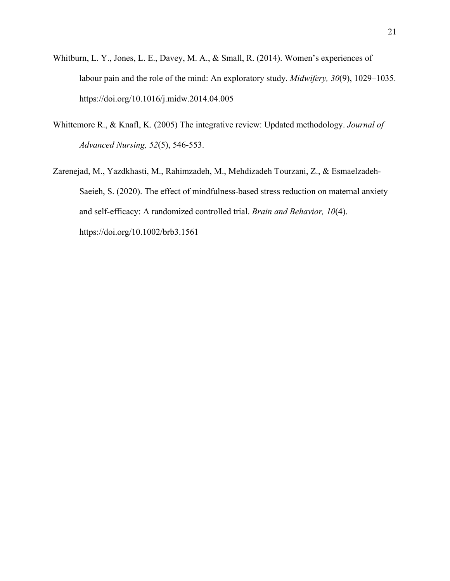- Whitburn, L. Y., Jones, L. E., Davey, M. A., & Small, R. (2014). Women's experiences of labour pain and the role of the mind: An exploratory study. *Midwifery, 30*(9), 1029–1035. https://doi.org/10.1016/j.midw.2014.04.005
- Whittemore R., & Knafl, K. (2005) The integrative review: Updated methodology. *Journal of Advanced Nursing, 52*(5), 546-553.
- Zarenejad, M., Yazdkhasti, M., Rahimzadeh, M., Mehdizadeh Tourzani, Z., & Esmaelzadeh‐ Saeieh, S. (2020). The effect of mindfulness-based stress reduction on maternal anxiety and self‐efficacy: A randomized controlled trial. *Brain and Behavior, 10*(4). https://doi.org/10.1002/brb3.1561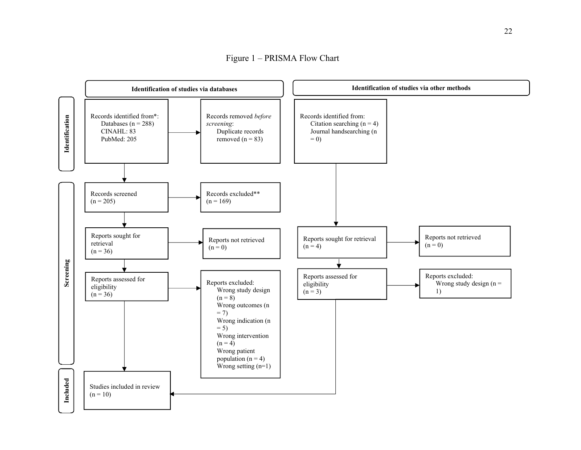Figure 1 – PRISMA Flow Chart

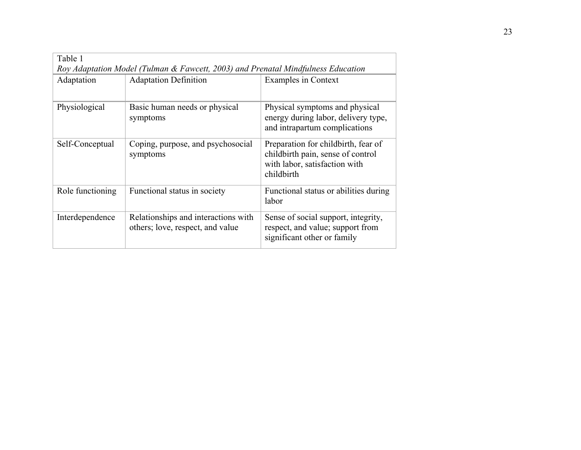|  | Table 1          | Roy Adaptation Model (Tulman & Fawcett, 2003) and Prenatal Mindfulness Education |                                                                                                                         |  |  |  |  |  |
|--|------------------|----------------------------------------------------------------------------------|-------------------------------------------------------------------------------------------------------------------------|--|--|--|--|--|
|  | Adaptation       | <b>Adaptation Definition</b>                                                     | <b>Examples in Context</b>                                                                                              |  |  |  |  |  |
|  |                  |                                                                                  |                                                                                                                         |  |  |  |  |  |
|  | Physiological    | Basic human needs or physical<br>symptoms                                        | Physical symptoms and physical<br>energy during labor, delivery type,<br>and intrapartum complications                  |  |  |  |  |  |
|  | Self-Conceptual  | Coping, purpose, and psychosocial<br>symptoms                                    | Preparation for childbirth, fear of<br>childbirth pain, sense of control<br>with labor, satisfaction with<br>childbirth |  |  |  |  |  |
|  | Role functioning | Functional status in society                                                     | Functional status or abilities during<br>labor                                                                          |  |  |  |  |  |
|  | Interdependence  | Relationships and interactions with<br>others; love, respect, and value          | Sense of social support, integrity,<br>respect, and value; support from<br>significant other or family                  |  |  |  |  |  |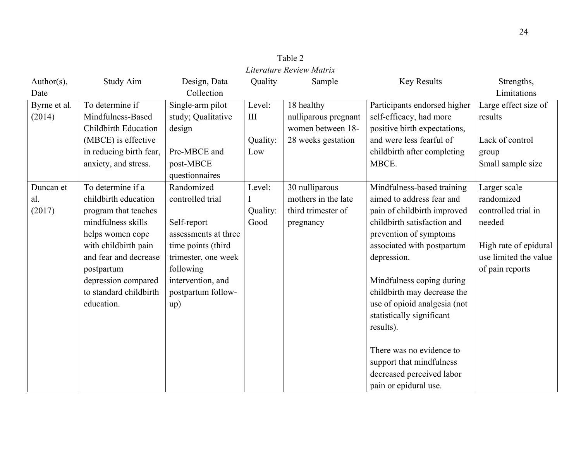| Literature Review Matrix |                             |                      |          |                      |                              |                       |  |
|--------------------------|-----------------------------|----------------------|----------|----------------------|------------------------------|-----------------------|--|
| Author( $s$ ),           | Study Aim                   | Design, Data         | Quality  | Sample               | <b>Key Results</b>           | Strengths,            |  |
| Date                     |                             | Collection           |          |                      |                              | Limitations           |  |
| Byrne et al.             | To determine if             | Single-arm pilot     | Level:   | 18 healthy           | Participants endorsed higher | Large effect size of  |  |
| (2014)                   | Mindfulness-Based           | study; Qualitative   | III      | nulliparous pregnant | self-efficacy, had more      | results               |  |
|                          | <b>Childbirth Education</b> | design               |          | women between 18-    | positive birth expectations, |                       |  |
|                          | (MBCE) is effective         |                      | Quality: | 28 weeks gestation   | and were less fearful of     | Lack of control       |  |
|                          | in reducing birth fear,     | Pre-MBCE and         | Low      |                      | childbirth after completing  | group                 |  |
|                          | anxiety, and stress.        | post-MBCE            |          |                      | MBCE.                        | Small sample size     |  |
|                          |                             | questionnaires       |          |                      |                              |                       |  |
| Duncan et                | To determine if a           | Randomized           | Level:   | 30 nulliparous       | Mindfulness-based training   | Larger scale          |  |
| al.                      | childbirth education        | controlled trial     | I        | mothers in the late  | aimed to address fear and    | randomized            |  |
| (2017)                   | program that teaches        |                      | Quality: | third trimester of   | pain of childbirth improved  | controlled trial in   |  |
|                          | mindfulness skills          | Self-report          | Good     | pregnancy            | childbirth satisfaction and  | needed                |  |
|                          | helps women cope            | assessments at three |          |                      | prevention of symptoms       |                       |  |
|                          | with childbirth pain        | time points (third   |          |                      | associated with postpartum   | High rate of epidural |  |
|                          | and fear and decrease       | trimester, one week  |          |                      | depression.                  | use limited the value |  |
|                          | postpartum                  | following            |          |                      |                              | of pain reports       |  |
|                          | depression compared         | intervention, and    |          |                      | Mindfulness coping during    |                       |  |
|                          | to standard childbirth      | postpartum follow-   |          |                      | childbirth may decrease the  |                       |  |
|                          | education.                  | up)                  |          |                      | use of opioid analgesia (not |                       |  |
|                          |                             |                      |          |                      | statistically significant    |                       |  |
|                          |                             |                      |          |                      | results).                    |                       |  |
|                          |                             |                      |          |                      |                              |                       |  |
|                          |                             |                      |          |                      | There was no evidence to     |                       |  |
|                          |                             |                      |          |                      | support that mindfulness     |                       |  |
|                          |                             |                      |          |                      | decreased perceived labor    |                       |  |
|                          |                             |                      |          |                      | pain or epidural use.        |                       |  |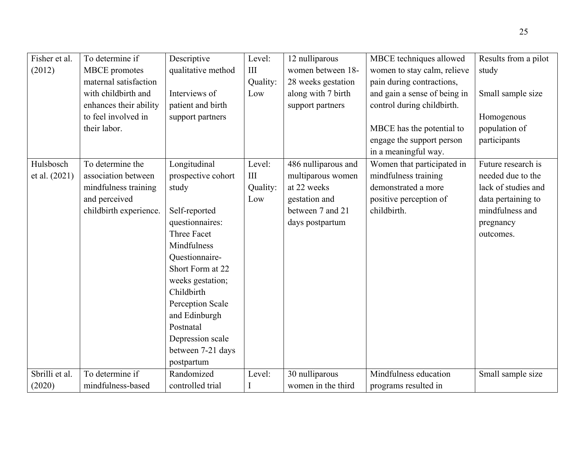| Fisher et al.  | To determine if        | Descriptive        | Level:   | 12 nulliparous      | MBCE techniques allowed      | Results from a pilot |
|----------------|------------------------|--------------------|----------|---------------------|------------------------------|----------------------|
| (2012)         | <b>MBCE</b> promotes   | qualitative method | III      | women between 18-   | women to stay calm, relieve  | study                |
|                | maternal satisfaction  |                    | Quality: | 28 weeks gestation  | pain during contractions,    |                      |
|                | with childbirth and    | Interviews of      | Low      | along with 7 birth  | and gain a sense of being in | Small sample size    |
|                | enhances their ability | patient and birth  |          | support partners    | control during childbirth.   |                      |
|                | to feel involved in    | support partners   |          |                     |                              | Homogenous           |
|                | their labor.           |                    |          |                     | MBCE has the potential to    | population of        |
|                |                        |                    |          |                     | engage the support person    | participants         |
|                |                        |                    |          |                     | in a meaningful way.         |                      |
| Hulsbosch      | To determine the       | Longitudinal       | Level:   | 486 nulliparous and | Women that participated in   | Future research is   |
| et al. (2021)  | association between    | prospective cohort | III      | multiparous women   | mindfulness training         | needed due to the    |
|                | mindfulness training   | study              | Quality: | at 22 weeks         | demonstrated a more          | lack of studies and  |
|                | and perceived          |                    | Low      | gestation and       | positive perception of       | data pertaining to   |
|                | childbirth experience. | Self-reported      |          | between 7 and 21    | childbirth.                  | mindfulness and      |
|                |                        | questionnaires:    |          | days postpartum     |                              | pregnancy            |
|                |                        | Three Facet        |          |                     |                              | outcomes.            |
|                |                        | Mindfulness        |          |                     |                              |                      |
|                |                        | Questionnaire-     |          |                     |                              |                      |
|                |                        | Short Form at 22   |          |                     |                              |                      |
|                |                        | weeks gestation;   |          |                     |                              |                      |
|                |                        | Childbirth         |          |                     |                              |                      |
|                |                        | Perception Scale   |          |                     |                              |                      |
|                |                        | and Edinburgh      |          |                     |                              |                      |
|                |                        | Postnatal          |          |                     |                              |                      |
|                |                        | Depression scale   |          |                     |                              |                      |
|                |                        | between 7-21 days  |          |                     |                              |                      |
|                |                        | postpartum         |          |                     |                              |                      |
| Sbrilli et al. | To determine if        | Randomized         | Level:   | 30 nulliparous      | Mindfulness education        | Small sample size    |
| (2020)         | mindfulness-based      | controlled trial   |          | women in the third  | programs resulted in         |                      |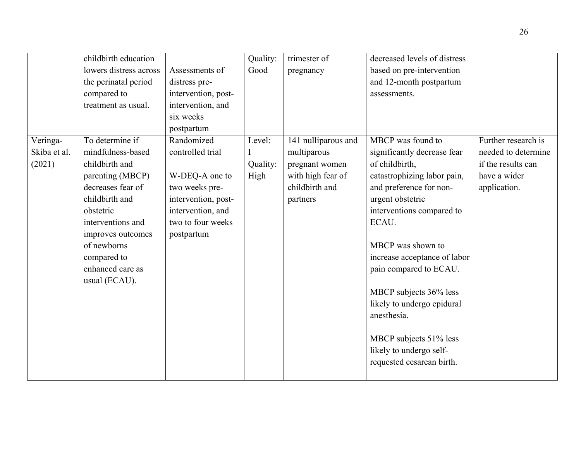|              | childbirth education   |                     | Quality: | trimester of        | decreased levels of distress |                     |
|--------------|------------------------|---------------------|----------|---------------------|------------------------------|---------------------|
|              | lowers distress across | Assessments of      | Good     | pregnancy           | based on pre-intervention    |                     |
|              | the perinatal period   | distress pre-       |          |                     | and 12-month postpartum      |                     |
|              | compared to            | intervention, post- |          |                     | assessments.                 |                     |
|              | treatment as usual.    | intervention, and   |          |                     |                              |                     |
|              |                        | six weeks           |          |                     |                              |                     |
|              |                        | postpartum          |          |                     |                              |                     |
| Veringa-     | To determine if        | Randomized          | Level:   | 141 nulliparous and | MBCP was found to            | Further research is |
| Skiba et al. | mindfulness-based      | controlled trial    |          | multiparous         | significantly decrease fear  | needed to determine |
| (2021)       | childbirth and         |                     | Quality: | pregnant women      | of childbirth,               | if the results can  |
|              | parenting (MBCP)       | W-DEQ-A one to      | High     | with high fear of   | catastrophizing labor pain,  | have a wider        |
|              | decreases fear of      | two weeks pre-      |          | childbirth and      | and preference for non-      | application.        |
|              | childbirth and         | intervention, post- |          | partners            | urgent obstetric             |                     |
|              | obstetric              | intervention, and   |          |                     | interventions compared to    |                     |
|              | interventions and      | two to four weeks   |          |                     | ECAU.                        |                     |
|              | improves outcomes      | postpartum          |          |                     |                              |                     |
|              | of newborns            |                     |          |                     | MBCP was shown to            |                     |
|              | compared to            |                     |          |                     | increase acceptance of labor |                     |
|              | enhanced care as       |                     |          |                     | pain compared to ECAU.       |                     |
|              | usual (ECAU).          |                     |          |                     |                              |                     |
|              |                        |                     |          |                     | MBCP subjects 36% less       |                     |
|              |                        |                     |          |                     | likely to undergo epidural   |                     |
|              |                        |                     |          |                     | anesthesia.                  |                     |
|              |                        |                     |          |                     |                              |                     |
|              |                        |                     |          |                     | MBCP subjects 51% less       |                     |
|              |                        |                     |          |                     | likely to undergo self-      |                     |
|              |                        |                     |          |                     | requested cesarean birth.    |                     |
|              |                        |                     |          |                     |                              |                     |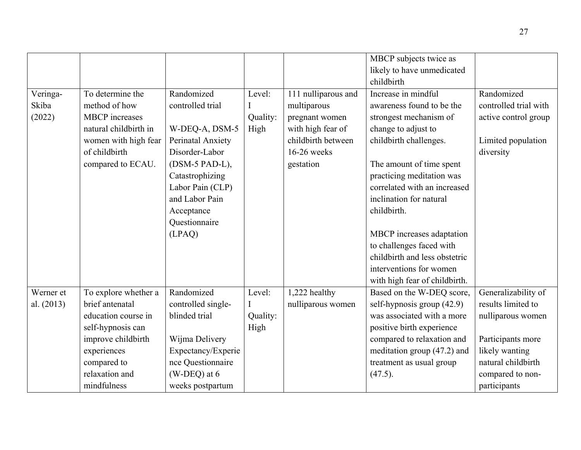|            |                       |                    |          |                     | MBCP subjects twice as        |                       |
|------------|-----------------------|--------------------|----------|---------------------|-------------------------------|-----------------------|
|            |                       |                    |          |                     | likely to have unmedicated    |                       |
|            |                       |                    |          |                     | childbirth                    |                       |
| Veringa-   | To determine the      | Randomized         | Level:   | 111 nulliparous and | Increase in mindful           | Randomized            |
| Skiba      | method of how         | controlled trial   | I        | multiparous         | awareness found to be the     | controlled trial with |
| (2022)     | <b>MBCP</b> increases |                    | Quality: | pregnant women      | strongest mechanism of        | active control group  |
|            | natural childbirth in | W-DEQ-A, DSM-5     | High     | with high fear of   | change to adjust to           |                       |
|            | women with high fear  | Perinatal Anxiety  |          | childbirth between  | childbirth challenges.        | Limited population    |
|            | of childbirth         | Disorder-Labor     |          | 16-26 weeks         |                               | diversity             |
|            | compared to ECAU.     | (DSM-5 PAD-L),     |          | gestation           | The amount of time spent      |                       |
|            |                       | Catastrophizing    |          |                     | practicing meditation was     |                       |
|            |                       | Labor Pain (CLP)   |          |                     | correlated with an increased  |                       |
|            |                       | and Labor Pain     |          |                     | inclination for natural       |                       |
|            |                       | Acceptance         |          |                     | childbirth.                   |                       |
|            |                       | Questionnaire      |          |                     |                               |                       |
|            |                       | (LPAQ)             |          |                     | MBCP increases adaptation     |                       |
|            |                       |                    |          |                     | to challenges faced with      |                       |
|            |                       |                    |          |                     | childbirth and less obstetric |                       |
|            |                       |                    |          |                     | interventions for women       |                       |
|            |                       |                    |          |                     | with high fear of childbirth. |                       |
| Werner et  | To explore whether a  | Randomized         | Level:   | 1,222 healthy       | Based on the W-DEQ score,     | Generalizability of   |
| al. (2013) | brief antenatal       | controlled single- |          | nulliparous women   | self-hypnosis group (42.9)    | results limited to    |
|            | education course in   | blinded trial      | Quality: |                     | was associated with a more    | nulliparous women     |
|            | self-hypnosis can     |                    | High     |                     | positive birth experience     |                       |
|            | improve childbirth    | Wijma Delivery     |          |                     | compared to relaxation and    | Participants more     |
|            | experiences           | Expectancy/Experie |          |                     | meditation group (47.2) and   | likely wanting        |
|            | compared to           | nce Questionnaire  |          |                     | treatment as usual group      | natural childbirth    |
|            | relaxation and        | $(W-DEQ)$ at 6     |          |                     | $(47.5)$ .                    | compared to non-      |
|            | mindfulness           | weeks postpartum   |          |                     |                               | participants          |